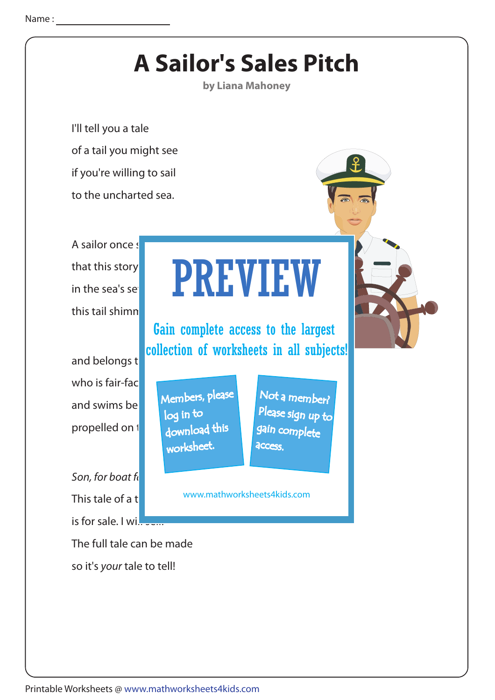## **A Sailor's Sales Pitch**

**by Liana Mahoney**

I'll tell you a tale of a tail you might see if you're willing to sail to the uncharted sea.

A sailor once  $s$ that this story in the sea's set this tail shimn

and belongs t who is fair-fac and swims be propelled on 1

Son, for boat  $f_k$ This tale of a  $t$ is for sale. I will  $s = 1$ 

The full tale can be made so it's your tale to tell!

## PREVIEW

Gain complete access to the largest collection of worksheets in all subjects!

Members, please download this worksheet. log in to

Not a member? gain complete Please sign up to **access** 

www.mathworksheets4kids.com

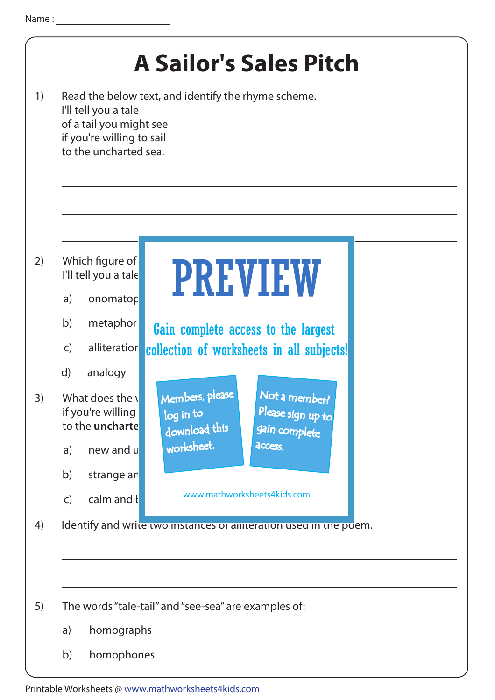